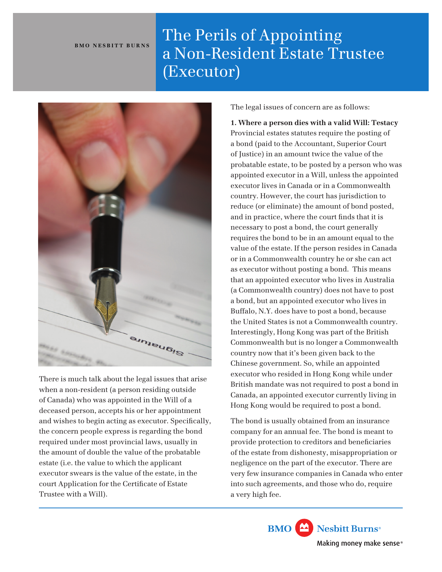## **BMO NESBITT BURNS**

## The Perils of Appointing a Non-Resident Estate Trustee (Executor)



There is much talk about the legal issues that arise when a non-resident (a person residing outside of Canada) who was appointed in the Will of a deceased person, accepts his or her appointment and wishes to begin acting as executor. Specifcally, the concern people express is regarding the bond required under most provincial laws, usually in the amount of double the value of the probatable estate (i.e. the value to which the applicant executor swears is the value of the estate, in the court Application for the Certifcate of Estate Trustee with a Will).

The legal issues of concern are as follows:

**1. Where a person dies with a valid Will: Testacy** Provincial estates statutes require the posting of a bond (paid to the Accountant, Superior Court of Justice) in an amount twice the value of the probatable estate, to be posted by a person who was appointed executor in a Will, unless the appointed executor lives in Canada or in a Commonwealth country. However, the court has jurisdiction to reduce (or eliminate) the amount of bond posted, and in practice, where the court fnds that it is necessary to post a bond, the court generally requires the bond to be in an amount equal to the value of the estate. If the person resides in Canada or in a Commonwealth country he or she can act as executor without posting a bond. This means that an appointed executor who lives in Australia (a Commonwealth country) does not have to post a bond, but an appointed executor who lives in Buffalo, N.Y. does have to post a bond, because the United States is not a Commonwealth country. Interestingly, Hong Kong was part of the British Commonwealth but is no longer a Commonwealth country now that it's been given back to the Chinese government. So, while an appointed executor who resided in Hong Kong while under British mandate was not required to post a bond in Canada, an appointed executor currently living in Hong Kong would be required to post a bond.

The bond is usually obtained from an insurance company for an annual fee. The bond is meant to provide protection to creditors and benefciaries of the estate from dishonesty, misappropriation or negligence on the part of the executor. There are very few insurance companies in Canada who enter into such agreements, and those who do, require a very high fee.

> Nesbitt Burns<sup>®</sup> **BMO** Making money make sense<sup>®</sup>